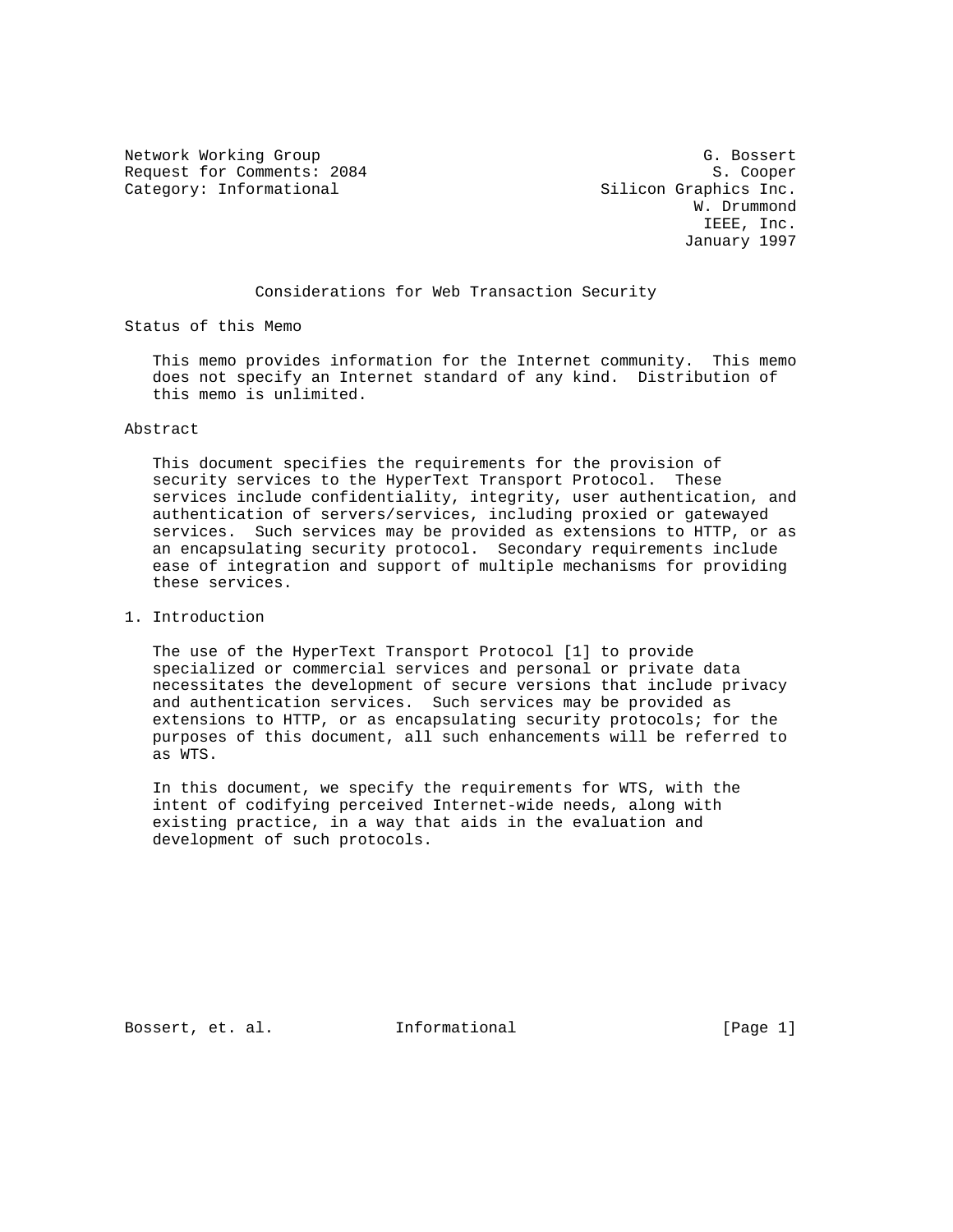Network Working Group G. Bossert Request for Comments: 2084 S. Cooper Category: Informational Silicon Graphics Inc.

 W. Drummond IEEE, Inc. January 1997

# Considerations for Web Transaction Security

Status of this Memo

 This memo provides information for the Internet community. This memo does not specify an Internet standard of any kind. Distribution of this memo is unlimited.

### Abstract

 This document specifies the requirements for the provision of security services to the HyperText Transport Protocol. These services include confidentiality, integrity, user authentication, and authentication of servers/services, including proxied or gatewayed services. Such services may be provided as extensions to HTTP, or as an encapsulating security protocol. Secondary requirements include ease of integration and support of multiple mechanisms for providing these services.

# 1. Introduction

 The use of the HyperText Transport Protocol [1] to provide specialized or commercial services and personal or private data necessitates the development of secure versions that include privacy and authentication services. Such services may be provided as extensions to HTTP, or as encapsulating security protocols; for the purposes of this document, all such enhancements will be referred to as WTS.

 In this document, we specify the requirements for WTS, with the intent of codifying perceived Internet-wide needs, along with existing practice, in a way that aids in the evaluation and development of such protocols.

Bossert, et. al. 1nformational [Page 1]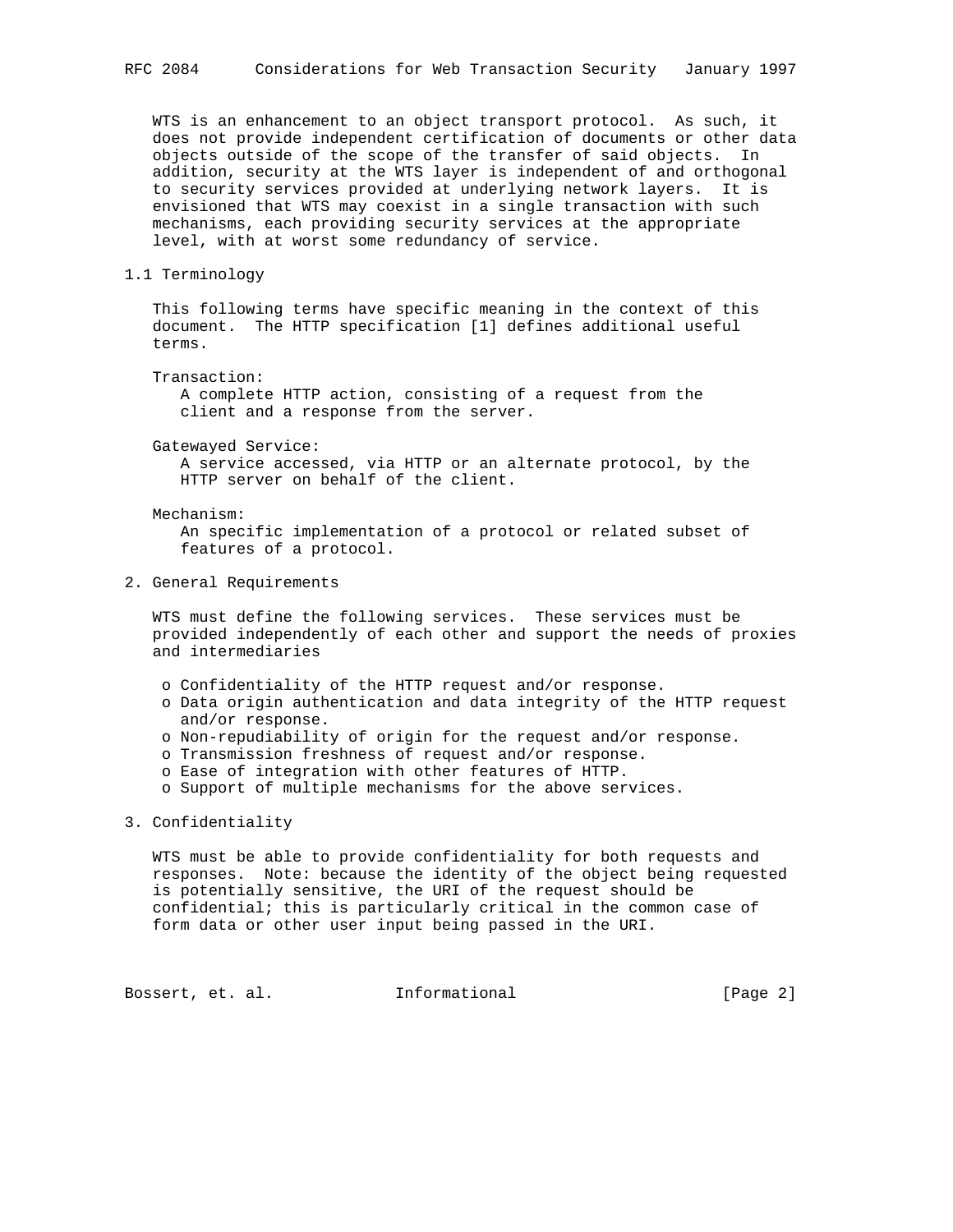WTS is an enhancement to an object transport protocol. As such, it does not provide independent certification of documents or other data objects outside of the scope of the transfer of said objects. In addition, security at the WTS layer is independent of and orthogonal to security services provided at underlying network layers. It is envisioned that WTS may coexist in a single transaction with such mechanisms, each providing security services at the appropriate level, with at worst some redundancy of service.

### 1.1 Terminology

 This following terms have specific meaning in the context of this document. The HTTP specification [1] defines additional useful terms.

Transaction:

 A complete HTTP action, consisting of a request from the client and a response from the server.

Gatewayed Service:

 A service accessed, via HTTP or an alternate protocol, by the HTTP server on behalf of the client.

#### Mechanism:

 An specific implementation of a protocol or related subset of features of a protocol.

2. General Requirements

 WTS must define the following services. These services must be provided independently of each other and support the needs of proxies and intermediaries

- o Confidentiality of the HTTP request and/or response.
- o Data origin authentication and data integrity of the HTTP request and/or response.
- o Non-repudiability of origin for the request and/or response.
- o Transmission freshness of request and/or response.
- o Ease of integration with other features of HTTP.
- o Support of multiple mechanisms for the above services.

### 3. Confidentiality

 WTS must be able to provide confidentiality for both requests and responses. Note: because the identity of the object being requested is potentially sensitive, the URI of the request should be confidential; this is particularly critical in the common case of form data or other user input being passed in the URI.

Bossert, et. al. 1nformational 1999 [Page 2]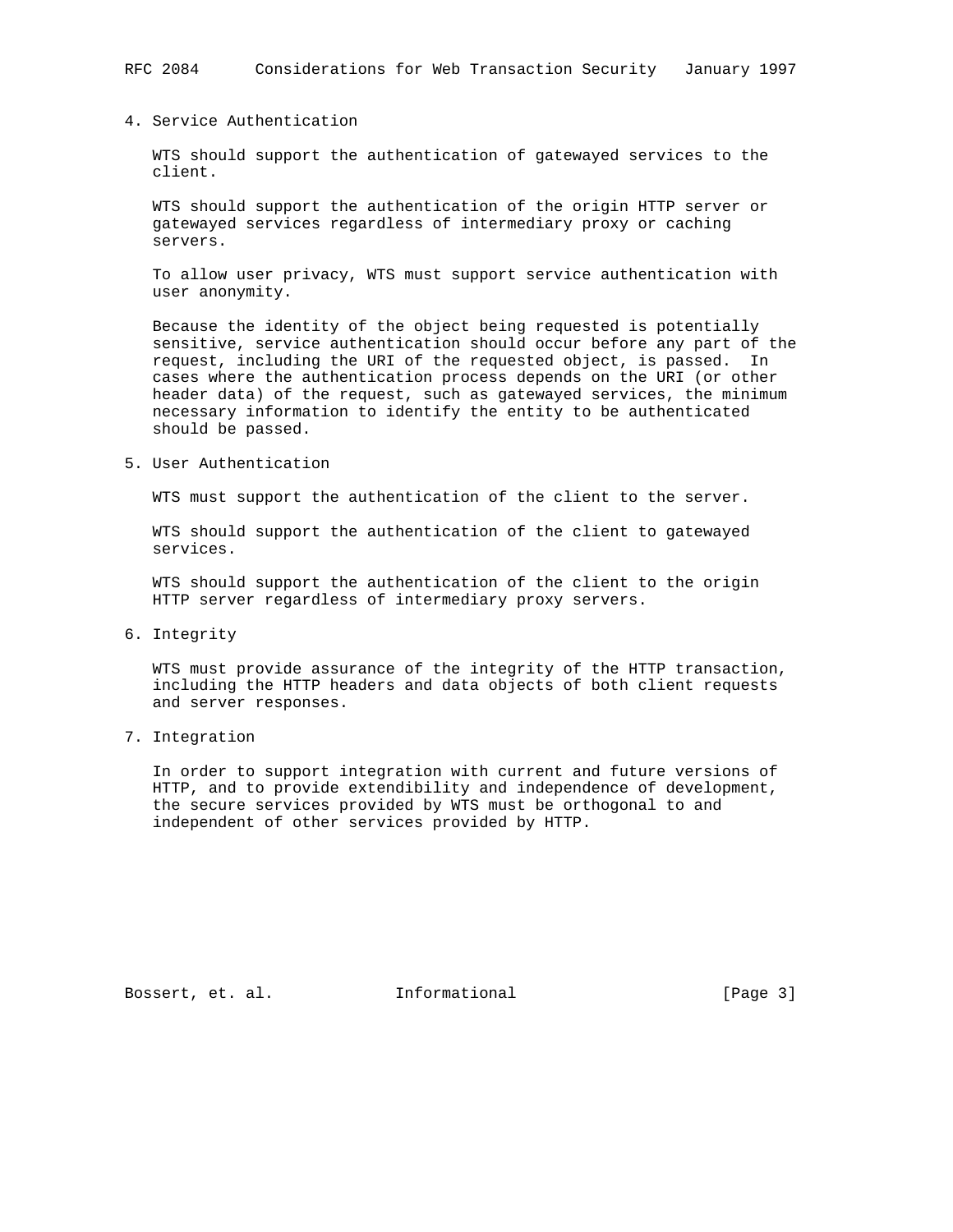# 4. Service Authentication

 WTS should support the authentication of gatewayed services to the client.

 WTS should support the authentication of the origin HTTP server or gatewayed services regardless of intermediary proxy or caching servers.

 To allow user privacy, WTS must support service authentication with user anonymity.

 Because the identity of the object being requested is potentially sensitive, service authentication should occur before any part of the request, including the URI of the requested object, is passed. In cases where the authentication process depends on the URI (or other header data) of the request, such as gatewayed services, the minimum necessary information to identify the entity to be authenticated should be passed.

5. User Authentication

WTS must support the authentication of the client to the server.

 WTS should support the authentication of the client to gatewayed services.

 WTS should support the authentication of the client to the origin HTTP server regardless of intermediary proxy servers.

6. Integrity

 WTS must provide assurance of the integrity of the HTTP transaction, including the HTTP headers and data objects of both client requests and server responses.

### 7. Integration

 In order to support integration with current and future versions of HTTP, and to provide extendibility and independence of development, the secure services provided by WTS must be orthogonal to and independent of other services provided by HTTP.

Bossert, et. al. 1nformational 1999 [Page 3]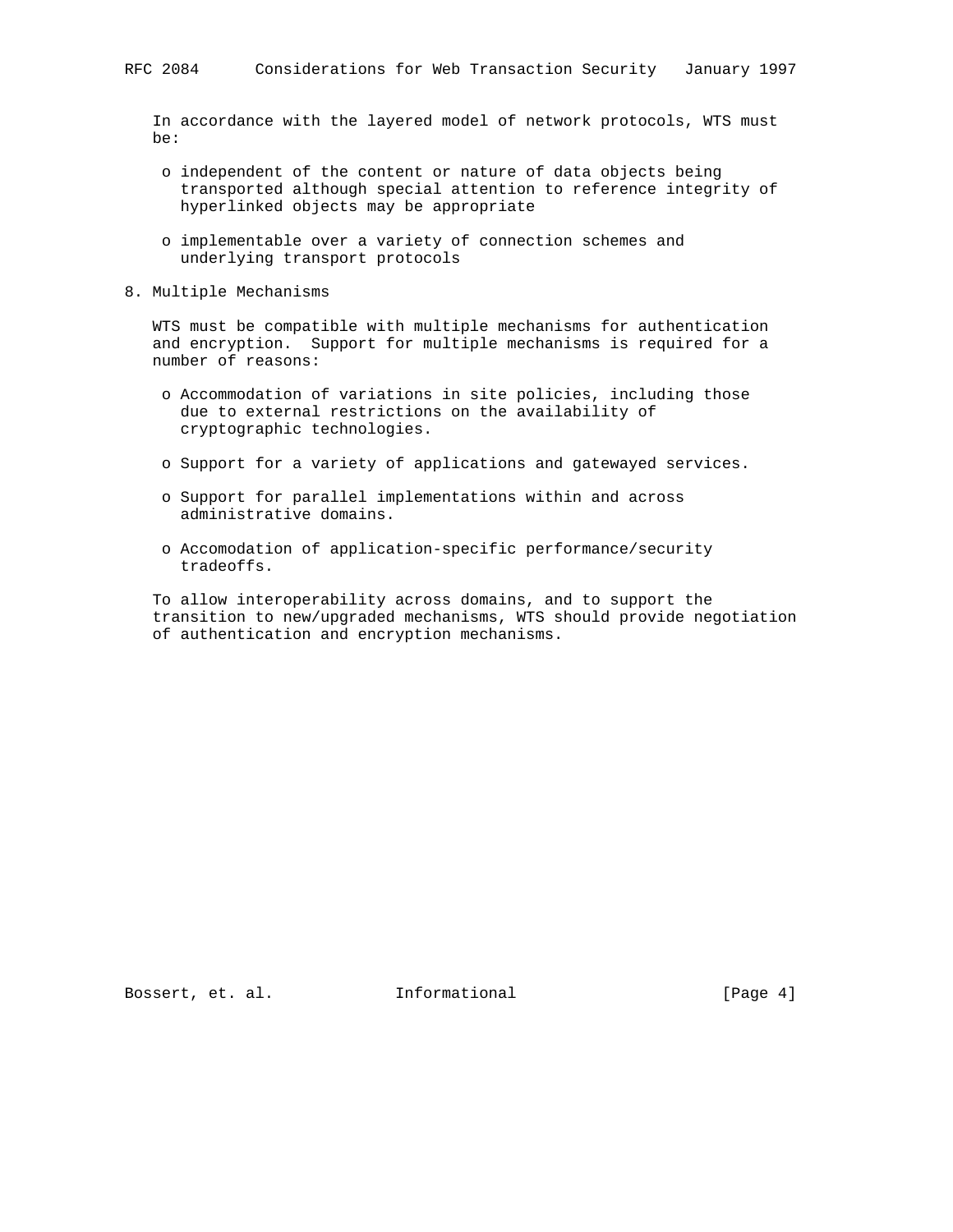In accordance with the layered model of network protocols, WTS must be:

- o independent of the content or nature of data objects being transported although special attention to reference integrity of hyperlinked objects may be appropriate
- o implementable over a variety of connection schemes and underlying transport protocols
- 8. Multiple Mechanisms

 WTS must be compatible with multiple mechanisms for authentication and encryption. Support for multiple mechanisms is required for a number of reasons:

- o Accommodation of variations in site policies, including those due to external restrictions on the availability of cryptographic technologies.
- o Support for a variety of applications and gatewayed services.
- o Support for parallel implementations within and across administrative domains.
- o Accomodation of application-specific performance/security tradeoffs.

 To allow interoperability across domains, and to support the transition to new/upgraded mechanisms, WTS should provide negotiation of authentication and encryption mechanisms.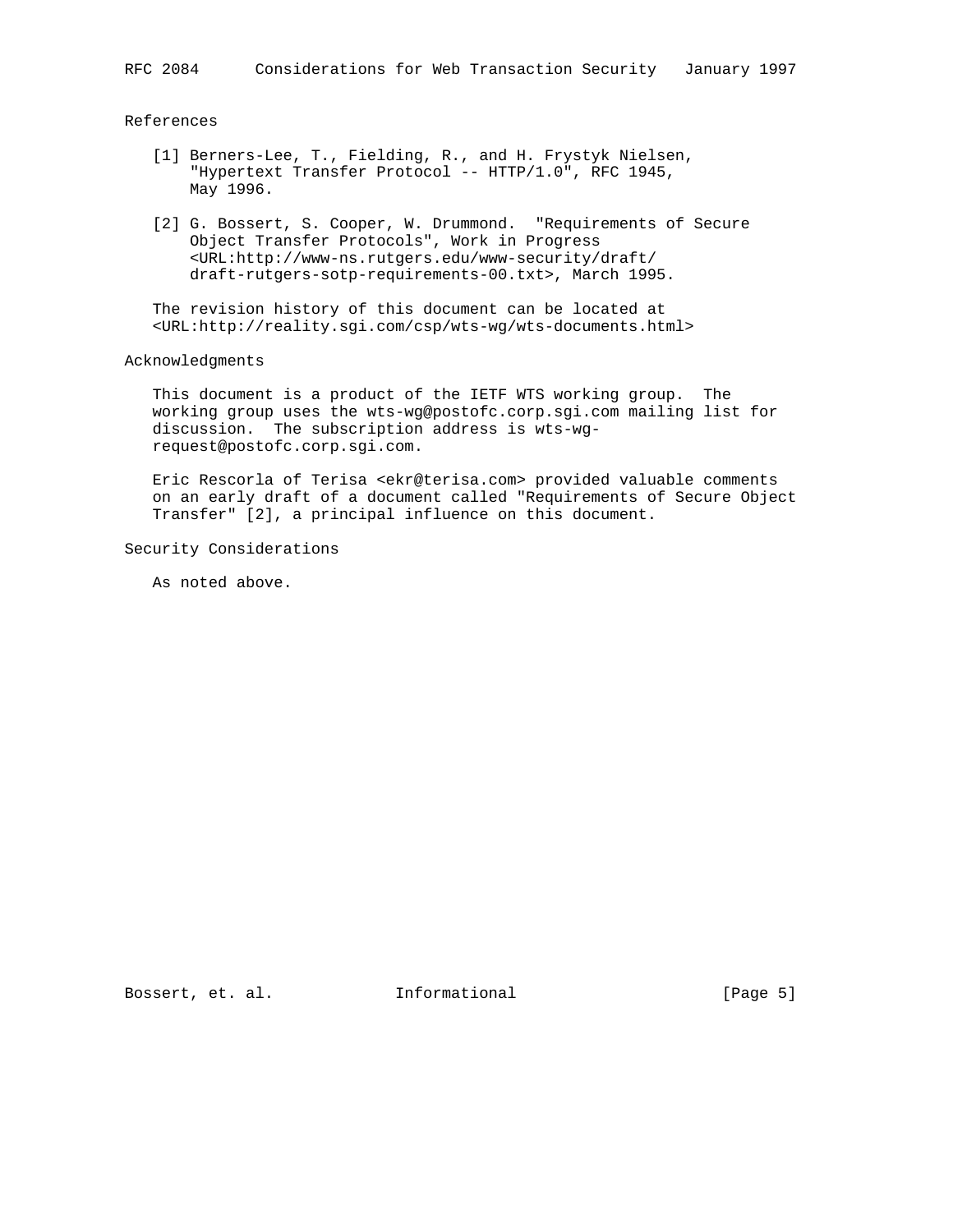#### References

- [1] Berners-Lee, T., Fielding, R., and H. Frystyk Nielsen, "Hypertext Transfer Protocol -- HTTP/1.0", RFC 1945, May 1996.
- [2] G. Bossert, S. Cooper, W. Drummond. "Requirements of Secure Object Transfer Protocols", Work in Progress <URL:http://www-ns.rutgers.edu/www-security/draft/ draft-rutgers-sotp-requirements-00.txt>, March 1995.

 The revision history of this document can be located at <URL:http://reality.sgi.com/csp/wts-wg/wts-documents.html>

#### Acknowledgments

 This document is a product of the IETF WTS working group. The working group uses the wts-wg@postofc.corp.sgi.com mailing list for discussion. The subscription address is wts-wg request@postofc.corp.sgi.com.

 Eric Rescorla of Terisa <ekr@terisa.com> provided valuable comments on an early draft of a document called "Requirements of Secure Object Transfer" [2], a principal influence on this document.

Security Considerations

As noted above.